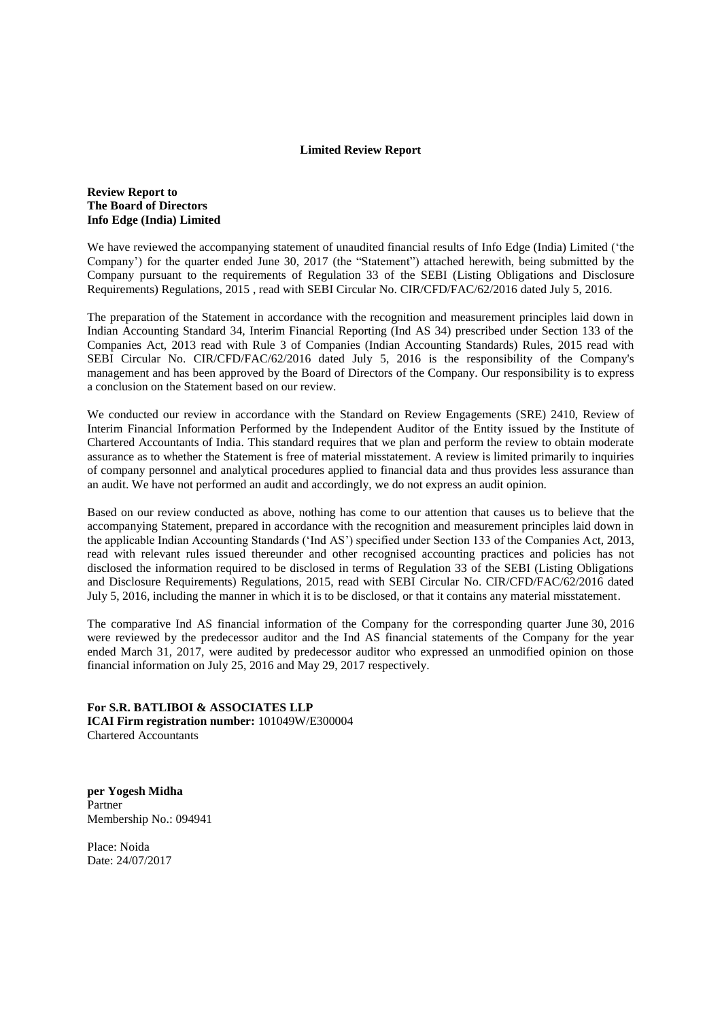### **Limited Review Report**

## **Review Report to The Board of Directors Info Edge (India) Limited**

We have reviewed the accompanying statement of unaudited financial results of Info Edge (India) Limited ('the Company') for the quarter ended June 30, 2017 (the "Statement") attached herewith, being submitted by the Company pursuant to the requirements of Regulation 33 of the SEBI (Listing Obligations and Disclosure Requirements) Regulations, 2015 , read with SEBI Circular No. CIR/CFD/FAC/62/2016 dated July 5, 2016.

The preparation of the Statement in accordance with the recognition and measurement principles laid down in Indian Accounting Standard 34, Interim Financial Reporting (Ind AS 34) prescribed under Section 133 of the Companies Act, 2013 read with Rule 3 of Companies (Indian Accounting Standards) Rules, 2015 read with SEBI Circular No. CIR/CFD/FAC/62/2016 dated July 5, 2016 is the responsibility of the Company's management and has been approved by the Board of Directors of the Company. Our responsibility is to express a conclusion on the Statement based on our review.

We conducted our review in accordance with the Standard on Review Engagements (SRE) 2410, Review of Interim Financial Information Performed by the Independent Auditor of the Entity issued by the Institute of Chartered Accountants of India. This standard requires that we plan and perform the review to obtain moderate assurance as to whether the Statement is free of material misstatement. A review is limited primarily to inquiries of company personnel and analytical procedures applied to financial data and thus provides less assurance than an audit. We have not performed an audit and accordingly, we do not express an audit opinion.

Based on our review conducted as above, nothing has come to our attention that causes us to believe that the accompanying Statement, prepared in accordance with the recognition and measurement principles laid down in the applicable Indian Accounting Standards ('Ind AS') specified under Section 133 of the Companies Act, 2013, read with relevant rules issued thereunder and other recognised accounting practices and policies has not disclosed the information required to be disclosed in terms of Regulation 33 of the SEBI (Listing Obligations and Disclosure Requirements) Regulations, 2015, read with SEBI Circular No. CIR/CFD/FAC/62/2016 dated July 5, 2016, including the manner in which it is to be disclosed, or that it contains any material misstatement.

The comparative Ind AS financial information of the Company for the corresponding quarter June 30, 2016 were reviewed by the predecessor auditor and the Ind AS financial statements of the Company for the year ended March 31, 2017, were audited by predecessor auditor who expressed an unmodified opinion on those financial information on July 25, 2016 and May 29, 2017 respectively.

**For S.R. BATLIBOI & ASSOCIATES LLP ICAI Firm registration number:** 101049W/E300004 Chartered Accountants

**per Yogesh Midha** Partner Membership No.: 094941

Place: Noida Date: 24/07/2017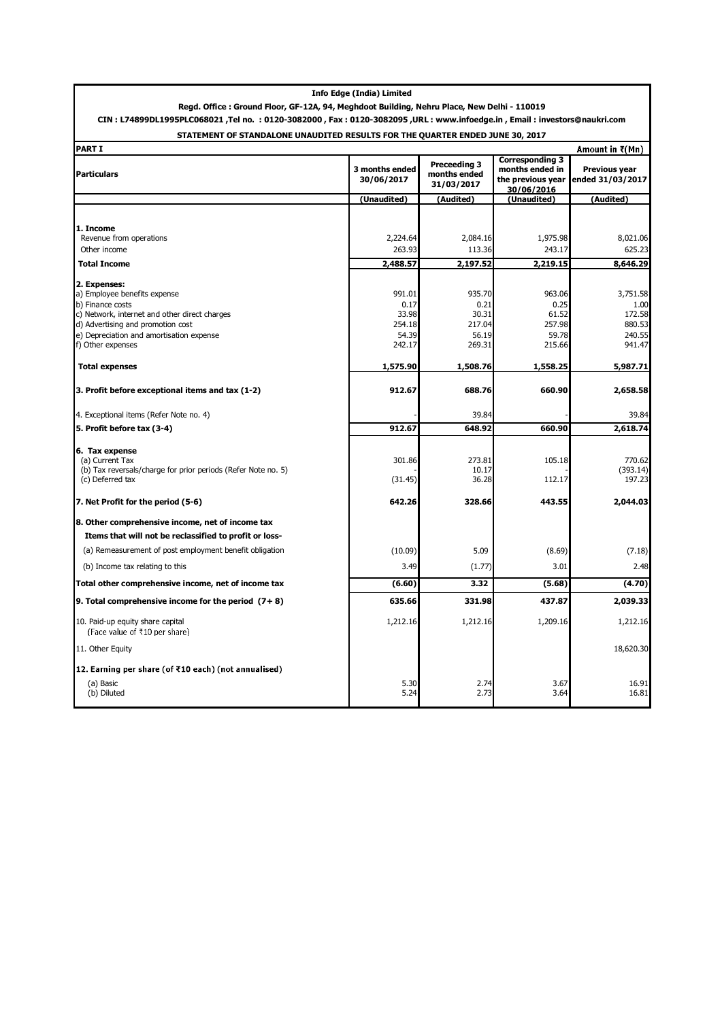# Regd. Office : Ground Floor, GF-12A, 94, Meghdoot Building, Nehru Place, New Delhi - 110019 CIN : L74899DL1995PLC068021 ,Tel no. : 0120-3082000 , Fax : 0120-3082095 ,URL : www.infoedge.in , Email : investors@naukri.com

## STATEMENT OF STANDALONE UNAUDITED RESULTS FOR THE QUARTER ENDED JUNE 30, 2017

| <b>PART I</b>                                                                      |                              |                                                   | Amount in $F(Mn)$                                                            |                                          |
|------------------------------------------------------------------------------------|------------------------------|---------------------------------------------------|------------------------------------------------------------------------------|------------------------------------------|
| <b>Particulars</b>                                                                 | 3 months ended<br>30/06/2017 | <b>Preceeding 3</b><br>months ended<br>31/03/2017 | <b>Corresponding 3</b><br>months ended in<br>the previous year<br>30/06/2016 | <b>Previous year</b><br>ended 31/03/2017 |
|                                                                                    | (Unaudited)                  | (Audited)                                         | (Unaudited)                                                                  | (Audited)                                |
|                                                                                    |                              |                                                   |                                                                              |                                          |
| 1. Income                                                                          |                              |                                                   |                                                                              |                                          |
| Revenue from operations                                                            | 2,224.64                     | 2,084.16                                          | 1,975.98                                                                     | 8,021.06                                 |
| Other income                                                                       | 263.93                       | 113.36                                            | 243.17                                                                       | 625.23                                   |
| <b>Total Income</b>                                                                | 2,488.57                     | 2,197.52                                          | 2,219.15                                                                     | 8,646.29                                 |
| 2. Expenses:                                                                       |                              |                                                   |                                                                              |                                          |
| a) Employee benefits expense                                                       | 991.01                       | 935.70                                            | 963.06                                                                       | 3,751.58                                 |
| b) Finance costs                                                                   | 0.17                         | 0.21                                              | 0.25                                                                         | 1.00                                     |
| c) Network, internet and other direct charges<br>d) Advertising and promotion cost | 33.98<br>254.18              | 30.31<br>217.04                                   | 61.52<br>257.98                                                              | 172.58<br>880.53                         |
| e) Depreciation and amortisation expense                                           | 54.39                        | 56.19                                             | 59.78                                                                        | 240.55                                   |
| f) Other expenses                                                                  | 242.17                       | 269.31                                            | 215.66                                                                       | 941.47                                   |
| <b>Total expenses</b>                                                              | 1,575.90                     | 1,508.76                                          | 1,558.25                                                                     | 5,987.71                                 |
|                                                                                    |                              |                                                   |                                                                              |                                          |
| 3. Profit before exceptional items and tax (1-2)                                   | 912.67                       | 688.76                                            | 660.90                                                                       | 2,658.58                                 |
| 4. Exceptional items (Refer Note no. 4)                                            |                              | 39.84                                             |                                                                              | 39.84                                    |
| 5. Profit before tax (3-4)                                                         | 912.67                       | 648.92                                            | 660.90                                                                       | 2,618.74                                 |
|                                                                                    |                              |                                                   |                                                                              |                                          |
| 6. Tax expense<br>(a) Current Tax                                                  | 301.86                       | 273.81                                            | 105.18                                                                       | 770.62                                   |
| (b) Tax reversals/charge for prior periods (Refer Note no. 5)                      |                              | 10.17                                             |                                                                              | (393.14)                                 |
| (c) Deferred tax                                                                   | (31.45)                      | 36.28                                             | 112.17                                                                       | 197.23                                   |
| 7. Net Profit for the period (5-6)                                                 | 642.26                       | 328.66                                            | 443.55                                                                       | 2,044.03                                 |
| 8. Other comprehensive income, net of income tax                                   |                              |                                                   |                                                                              |                                          |
| Items that will not be reclassified to profit or loss-                             |                              |                                                   |                                                                              |                                          |
| (a) Remeasurement of post employment benefit obligation                            | (10.09)                      | 5.09                                              | (8.69)                                                                       | (7.18)                                   |
| (b) Income tax relating to this                                                    | 3.49                         | (1.77)                                            | 3.01                                                                         | 2.48                                     |
| Total other comprehensive income, net of income tax                                | (6.60)                       | 3.32                                              | (5.68)                                                                       | (4.70)                                   |
| 9. Total comprehensive income for the period $(7+8)$                               | 635.66                       | 331.98                                            | 437.87                                                                       | 2,039.33                                 |
| 10. Paid-up equity share capital<br>(Face value of ₹10 per share)                  | 1,212.16                     | 1,212.16                                          | 1,209.16                                                                     | 1,212.16                                 |
| 11. Other Equity                                                                   |                              |                                                   |                                                                              | 18,620.30                                |
| 12. Earning per share (of ₹10 each) (not annualised)                               |                              |                                                   |                                                                              |                                          |
| (a) Basic                                                                          | 5.30                         | 2.74                                              | 3.67                                                                         | 16.91                                    |
| (b) Diluted                                                                        | 5.24                         | 2.73                                              | 3.64                                                                         | 16.81                                    |
|                                                                                    |                              |                                                   |                                                                              |                                          |